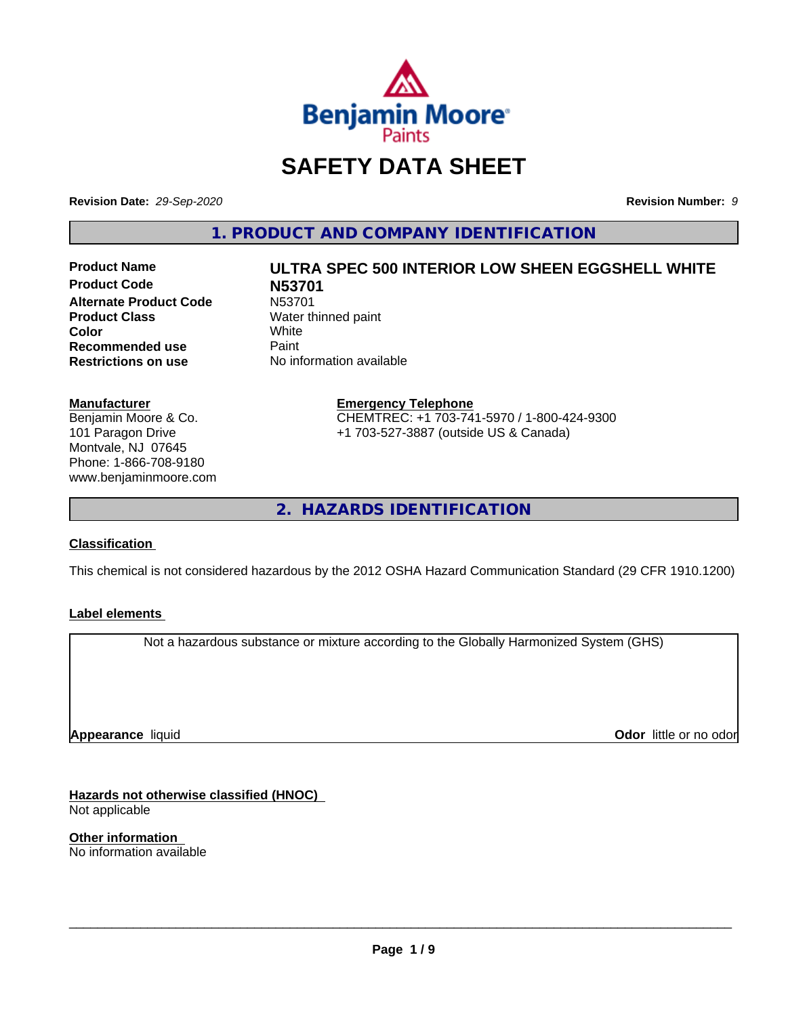

# **SAFETY DATA SHEET**

**Revision Date:** *29-Sep-2020* **Revision Number:** *9*

**1. PRODUCT AND COMPANY IDENTIFICATION**

**Product Code N53701 Alternate Product Code M53701**<br>**Product Class** Mater th **Color** White White **Recommended use** Paint<br> **Restrictions on use** No inf

# **Product Name ULTRA SPEC 500 INTERIOR LOW SHEEN EGGSHELL WHITE**

**Water thinned paint**<br>White **No information available** 

**Manufacturer** Benjamin Moore & Co. 101 Paragon Drive Montvale, NJ 07645 Phone: 1-866-708-9180 www.benjaminmoore.com

#### **Emergency Telephone** CHEMTREC: +1 703-741-5970 / 1-800-424-9300 +1 703-527-3887 (outside US & Canada)

**2. HAZARDS IDENTIFICATION**

#### **Classification**

This chemical is not considered hazardous by the 2012 OSHA Hazard Communication Standard (29 CFR 1910.1200)

#### **Label elements**

Not a hazardous substance or mixture according to the Globally Harmonized System (GHS)

**Appearance** liquid

**Odor** little or no odor

**Hazards not otherwise classified (HNOC)** Not applicable

**Other information** No information available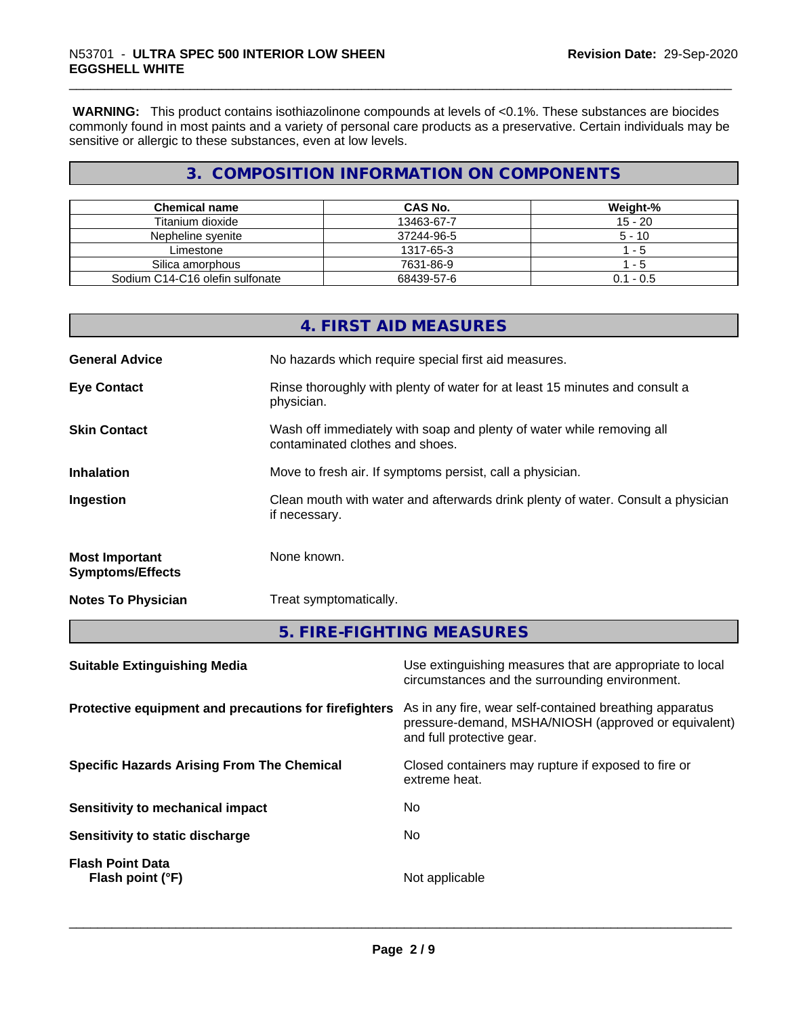**WARNING:** This product contains isothiazolinone compounds at levels of <0.1%. These substances are biocides commonly found in most paints and a variety of personal care products as a preservative. Certain individuals may be sensitive or allergic to these substances, even at low levels.

# **3. COMPOSITION INFORMATION ON COMPONENTS**

| <b>Chemical name</b>            | CAS No.    | Weight-%    |
|---------------------------------|------------|-------------|
| Titanium dioxide                | 13463-67-7 | $15 - 20$   |
| Nepheline svenite               | 37244-96-5 | $5 - 10$    |
| Limestone                       | 1317-65-3  | - 5         |
| Silica amorphous                | 7631-86-9  | -5          |
| Sodium C14-C16 olefin sulfonate | 68439-57-6 | $0.1 - 0.5$ |

| <b>Suitable Extinguishing Media</b>              | Use extinguishing measures that are appropriate to local                                                 |
|--------------------------------------------------|----------------------------------------------------------------------------------------------------------|
|                                                  | 5. FIRE-FIGHTING MEASURES                                                                                |
| <b>Notes To Physician</b>                        | Treat symptomatically.                                                                                   |
| <b>Most Important</b><br><b>Symptoms/Effects</b> | None known.                                                                                              |
| Ingestion                                        | Clean mouth with water and afterwards drink plenty of water. Consult a physician<br>if necessary.        |
| <b>Inhalation</b>                                | Move to fresh air. If symptoms persist, call a physician.                                                |
| <b>Skin Contact</b>                              | Wash off immediately with soap and plenty of water while removing all<br>contaminated clothes and shoes. |
| <b>Eye Contact</b>                               | Rinse thoroughly with plenty of water for at least 15 minutes and consult a<br>physician.                |
| <b>General Advice</b>                            | No hazards which require special first aid measures.                                                     |
|                                                  | 4. FIRST AID MEASURES                                                                                    |

| As in any fire, wear self-contained breathing apparatus<br>Protective equipment and precautions for firefighters<br>pressure-demand, MSHA/NIOSH (approved or equivalent)<br>and full protective gear.<br><b>Specific Hazards Arising From The Chemical</b><br>Closed containers may rupture if exposed to fire or<br>extreme heat.<br>No.<br>Sensitivity to mechanical impact<br>Sensitivity to static discharge<br>No.<br><b>Flash Point Data</b><br>Not applicable<br>Flash point (°F) | circumstances and the surrounding environment. |
|------------------------------------------------------------------------------------------------------------------------------------------------------------------------------------------------------------------------------------------------------------------------------------------------------------------------------------------------------------------------------------------------------------------------------------------------------------------------------------------|------------------------------------------------|
|                                                                                                                                                                                                                                                                                                                                                                                                                                                                                          |                                                |
|                                                                                                                                                                                                                                                                                                                                                                                                                                                                                          |                                                |
|                                                                                                                                                                                                                                                                                                                                                                                                                                                                                          |                                                |
|                                                                                                                                                                                                                                                                                                                                                                                                                                                                                          |                                                |
|                                                                                                                                                                                                                                                                                                                                                                                                                                                                                          |                                                |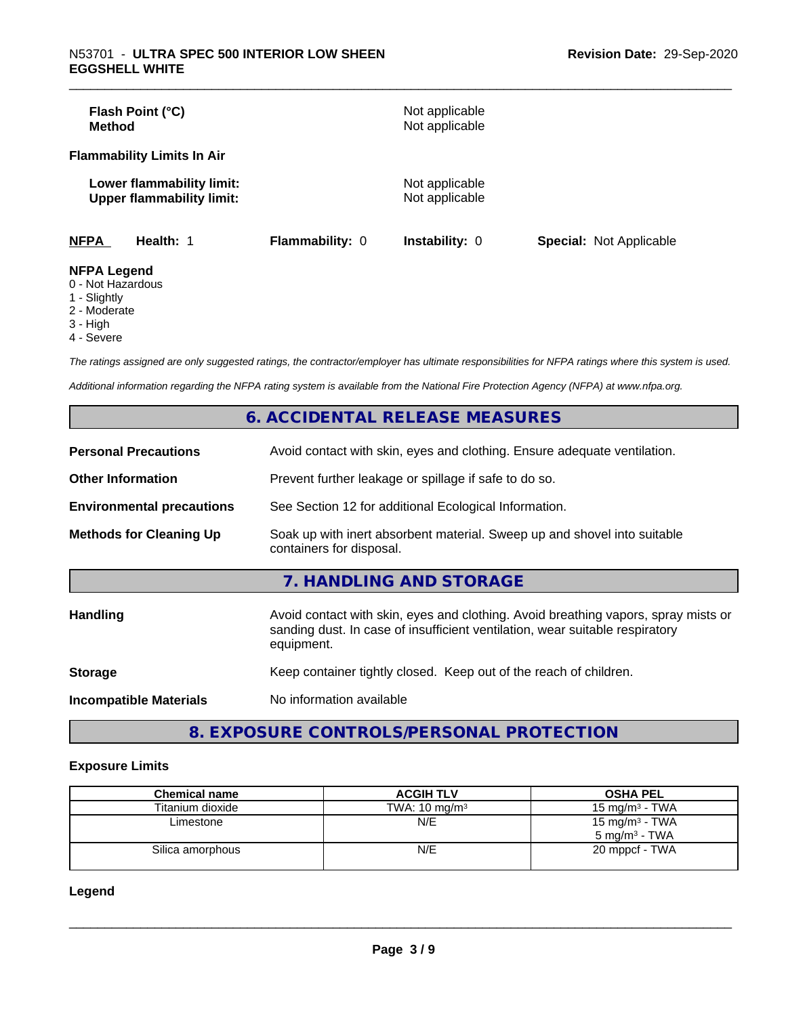| Flash Point (°C)<br>Method                                    |                        | Not applicable<br>Not applicable |                                |
|---------------------------------------------------------------|------------------------|----------------------------------|--------------------------------|
| <b>Flammability Limits In Air</b>                             |                        |                                  |                                |
| Lower flammability limit:<br><b>Upper flammability limit:</b> |                        | Not applicable<br>Not applicable |                                |
| <b>NFPA</b><br>Health: 1                                      | <b>Flammability: 0</b> | Instability: 0                   | <b>Special: Not Applicable</b> |
| <b>NFPA Legend</b><br>$\bigcap$ blat line and are             |                        |                                  |                                |

- 0 Not Hazardous
- 1 Slightly
- 2 Moderate
- 3 High
- 4 Severe

*The ratings assigned are only suggested ratings, the contractor/employer has ultimate responsibilities for NFPA ratings where this system is used.*

*Additional information regarding the NFPA rating system is available from the National Fire Protection Agency (NFPA) at www.nfpa.org.*

|                                  | 6. ACCIDENTAL RELEASE MEASURES                                                                                                                                                   |
|----------------------------------|----------------------------------------------------------------------------------------------------------------------------------------------------------------------------------|
| <b>Personal Precautions</b>      | Avoid contact with skin, eyes and clothing. Ensure adequate ventilation.                                                                                                         |
| <b>Other Information</b>         | Prevent further leakage or spillage if safe to do so.                                                                                                                            |
| <b>Environmental precautions</b> | See Section 12 for additional Ecological Information.                                                                                                                            |
| <b>Methods for Cleaning Up</b>   | Soak up with inert absorbent material. Sweep up and shovel into suitable<br>containers for disposal.                                                                             |
|                                  | 7. HANDLING AND STORAGE                                                                                                                                                          |
| <b>Handling</b>                  | Avoid contact with skin, eyes and clothing. Avoid breathing vapors, spray mists or<br>sanding dust. In case of insufficient ventilation, wear suitable respiratory<br>equipment. |
| <b>Storage</b>                   | Keep container tightly closed. Keep out of the reach of children.                                                                                                                |
| <b>Incompatible Materials</b>    | No information available                                                                                                                                                         |

**8. EXPOSURE CONTROLS/PERSONAL PROTECTION**

#### **Exposure Limits**

| <b>Chemical name</b> | <b>ACGIH TLV</b>         | <b>OSHA PEL</b>                                        |
|----------------------|--------------------------|--------------------------------------------------------|
| Titanium dioxide     | TWA: $10 \text{ mg/m}^3$ | $15 \text{ mg/m}^3$ - TWA                              |
| Limestone            | N/E                      | 15 mg/m <sup>3</sup> - TWA<br>$5 \text{ ma/m}^3$ - TWA |
| Silica amorphous     | N/E                      | 20 mppcf - TWA                                         |

**Legend**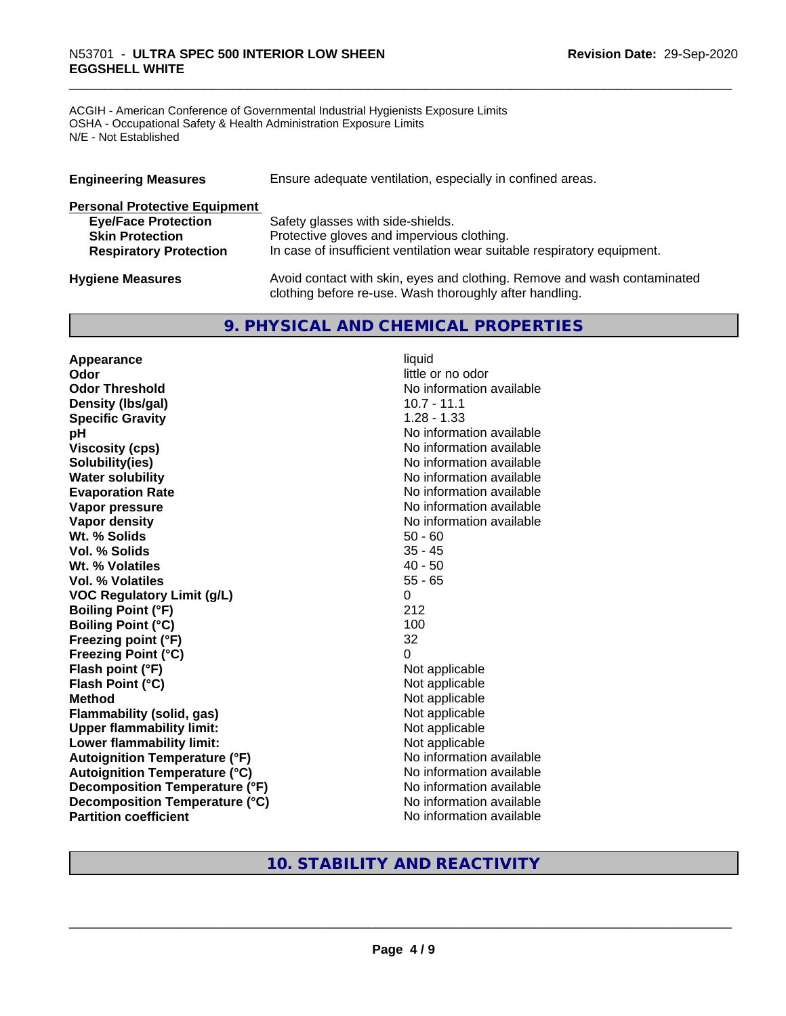# \_\_\_\_\_\_\_\_\_\_\_\_\_\_\_\_\_\_\_\_\_\_\_\_\_\_\_\_\_\_\_\_\_\_\_\_\_\_\_\_\_\_\_\_\_\_\_\_\_\_\_\_\_\_\_\_\_\_\_\_\_\_\_\_\_\_\_\_\_\_\_\_\_\_\_\_\_\_\_\_\_\_\_\_\_\_\_\_\_\_\_\_\_ N53701 - **ULTRA SPEC <sup>500</sup> INTERIOR LOW SHEEN EGGSHELL WHITE**

ACGIH - American Conference of Governmental Industrial Hygienists Exposure Limits OSHA - Occupational Safety & Health Administration Exposure Limits N/E - Not Established

| <b>Engineering Measures</b>          | Ensure adequate ventilation, especially in confined areas.               |
|--------------------------------------|--------------------------------------------------------------------------|
| <b>Personal Protective Equipment</b> |                                                                          |
| <b>Eye/Face Protection</b>           | Safety glasses with side-shields.                                        |
| <b>Skin Protection</b>               | Protective gloves and impervious clothing.                               |
| <b>Respiratory Protection</b>        | In case of insufficient ventilation wear suitable respiratory equipment. |
| <b>Hygiene Measures</b>              | Avoid contact with skin, eyes and clothing. Remove and wash contaminated |

clothing before re-use. Wash thoroughly after handling.

### **9. PHYSICAL AND CHEMICAL PROPERTIES**

**Appearance** liquid **Odor** little or no odor **Odor Threshold** No information available **Density (lbs/gal)** 10.7 - 11.1 **Specific Gravity** 1.28 - 1.33 **pH pH**  $\blacksquare$ **Viscosity (cps)** No information available **Solubility(ies)** No information available **Water solubility** No information available **Evaporation Rate No information available No information available Vapor pressure** No information available **Vapor density**<br> **We Solids**<br>
We Solids
2019<br>
Me Solids
2019<br>
Me Solids
2019<br>
Me Solids
2019<br>
Me Solids
2019 **Wt. % Solids** 50 - 60<br> **Vol. % Solids** 35 - 45 **Vol. % Solids Wt. % Volatiles** 40 - 50 **Vol. % Volatiles** 55 - 65 **VOC Regulatory Limit (g/L)** 0 **Boiling Point (°F)** 212 **Boiling Point (°C)** 100 **Freezing point (°F)** 32 **Freezing Point (°C)** 0 **Flash point (°F)** Not applicable **Flash Point (°C)** Not applicable **Method**<br> **Flammability (solid, gas)**<br> **Commability (solid, gas)**<br>
Mot applicable **Flammability** (solid, gas) **Upper flammability limit:**<br> **Lower flammability limit:** Not applicable Not applicable **Lower flammability limit:**<br> **Autoignition Temperature (°F)** Not applicable havailable **Autoignition Temperature (°F) Autoignition Temperature (°C)** No information available **Decomposition Temperature (°F)** No information available **Decomposition Temperature (°C)** No information available **Partition coefficient** No information available

# **10. STABILITY AND REACTIVITY**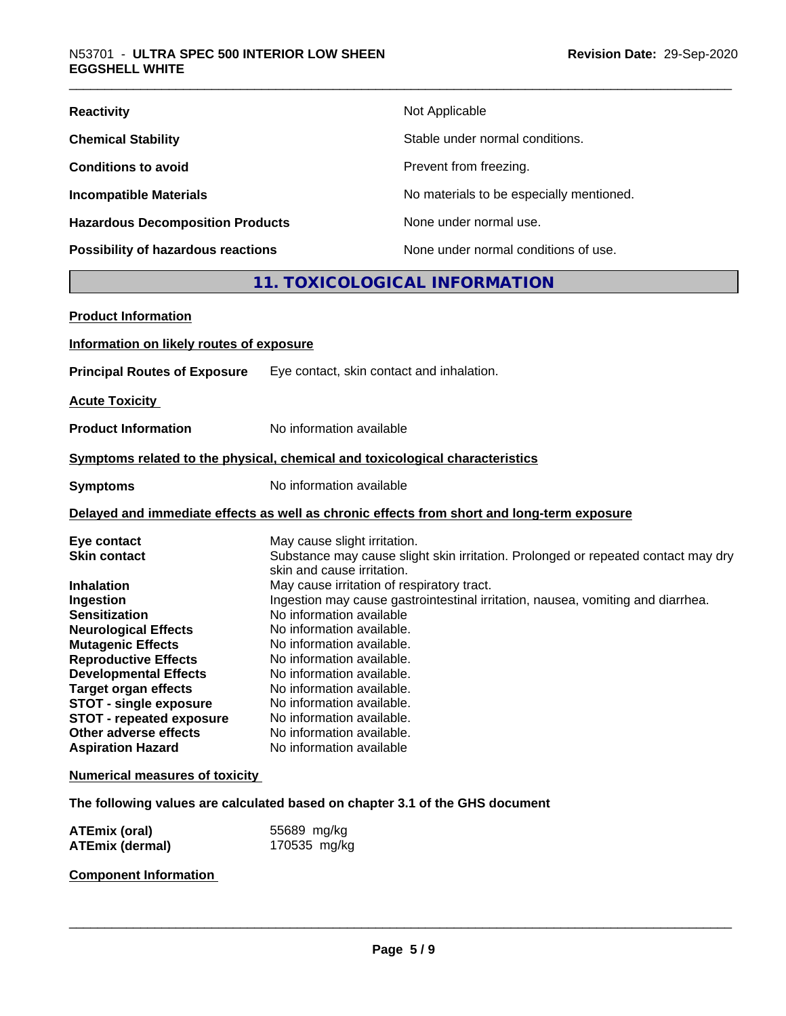| <b>Reactivity</b>                         | Not Applicable                           |
|-------------------------------------------|------------------------------------------|
| <b>Chemical Stability</b>                 | Stable under normal conditions.          |
| <b>Conditions to avoid</b>                | Prevent from freezing.                   |
| <b>Incompatible Materials</b>             | No materials to be especially mentioned. |
| <b>Hazardous Decomposition Products</b>   | None under normal use.                   |
| <b>Possibility of hazardous reactions</b> | None under normal conditions of use.     |

#### **11. TOXICOLOGICAL INFORMATION**

| <b>Product Information</b>               |                                                                                            |
|------------------------------------------|--------------------------------------------------------------------------------------------|
| Information on likely routes of exposure |                                                                                            |
| <b>Principal Routes of Exposure</b>      | Eye contact, skin contact and inhalation.                                                  |
| <b>Acute Toxicity</b>                    |                                                                                            |
| <b>Product Information</b>               | No information available                                                                   |
|                                          | Symptoms related to the physical, chemical and toxicological characteristics               |
|                                          |                                                                                            |
| <b>Symptoms</b>                          | No information available                                                                   |
|                                          | Delayed and immediate effects as well as chronic effects from short and long-term exposure |
| Eye contact                              | May cause slight irritation.                                                               |
| <b>Skin contact</b>                      | Substance may cause slight skin irritation. Prolonged or repeated contact may dry          |
|                                          | skin and cause irritation.                                                                 |
| <b>Inhalation</b>                        | May cause irritation of respiratory tract.                                                 |
| Ingestion                                | Ingestion may cause gastrointestinal irritation, nausea, vomiting and diarrhea.            |
| <b>Sensitization</b>                     | No information available                                                                   |
| <b>Neurological Effects</b>              | No information available.                                                                  |
| <b>Mutagenic Effects</b>                 | No information available.                                                                  |
| <b>Reproductive Effects</b>              | No information available.                                                                  |
| <b>Developmental Effects</b>             | No information available.                                                                  |
| <b>Target organ effects</b>              | No information available.                                                                  |
| <b>STOT - single exposure</b>            | No information available.                                                                  |
| <b>STOT - repeated exposure</b>          | No information available.                                                                  |
| Other adverse effects                    | No information available.                                                                  |
| <b>Aspiration Hazard</b>                 | No information available                                                                   |
| <b>Numerical measures of toxicity</b>    |                                                                                            |
|                                          | The following values are calculated based on chapter 3.1 of the GHS document               |
| ATEmiy (oral)                            | $55689$ malka                                                                              |

**ATEmix (oral)** 55689 mg/kg<br>**ATEmix (dermal)** 170535 mg/kg **ATEmix (dermal)** 

**Component Information**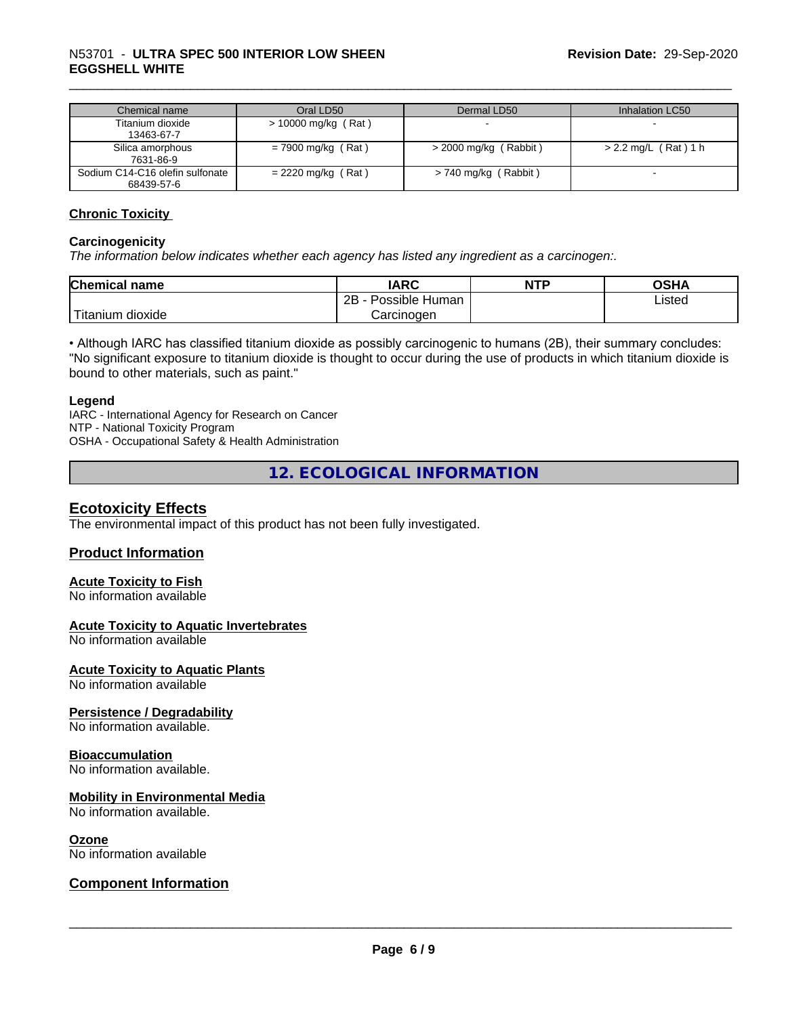# \_\_\_\_\_\_\_\_\_\_\_\_\_\_\_\_\_\_\_\_\_\_\_\_\_\_\_\_\_\_\_\_\_\_\_\_\_\_\_\_\_\_\_\_\_\_\_\_\_\_\_\_\_\_\_\_\_\_\_\_\_\_\_\_\_\_\_\_\_\_\_\_\_\_\_\_\_\_\_\_\_\_\_\_\_\_\_\_\_\_\_\_\_ N53701 - **ULTRA SPEC <sup>500</sup> INTERIOR LOW SHEEN EGGSHELL WHITE**

| Chemical name                   | Oral LD50             | Dermal LD50             | Inhalation LC50      |
|---------------------------------|-----------------------|-------------------------|----------------------|
| Titanium dioxide                | $>$ 10000 mg/kg (Rat) |                         |                      |
| 13463-67-7                      |                       |                         |                      |
| Silica amorphous                | $= 7900$ mg/kg (Rat)  | $>$ 2000 mg/kg (Rabbit) | > 2.2 mg/L (Rat) 1 h |
| 7631-86-9                       |                       |                         |                      |
| Sodium C14-C16 olefin sulfonate | $= 2220$ mg/kg (Rat)  | > 740 mg/kg (Rabbit)    |                      |
| 68439-57-6                      |                       |                         |                      |

#### **Chronic Toxicity**

#### **Carcinogenicity**

*The information below indicateswhether each agency has listed any ingredient as a carcinogen:.*

| <b>Chemical</b><br>name       | <b>IARC</b>                    | <b>NTP</b> | <b>OCU</b><br>∪וכ |
|-------------------------------|--------------------------------|------------|-------------------|
|                               | .<br>2Β<br>: Human<br>Possible |            | ∟isted            |
| <br>dioxide<br><b>itanium</b> | Carcinoɑen                     |            |                   |

• Although IARC has classified titanium dioxide as possibly carcinogenic to humans (2B), their summary concludes: "No significant exposure to titanium dioxide is thought to occur during the use of products in which titanium dioxide is bound to other materials, such as paint."

#### **Legend**

IARC - International Agency for Research on Cancer NTP - National Toxicity Program OSHA - Occupational Safety & Health Administration

**12. ECOLOGICAL INFORMATION**

#### **Ecotoxicity Effects**

The environmental impact of this product has not been fully investigated.

#### **Product Information**

#### **Acute Toxicity to Fish**

No information available

#### **Acute Toxicity to Aquatic Invertebrates**

No information available

**Acute Toxicity to Aquatic Plants**

No information available

#### **Persistence / Degradability**

No information available.

#### **Bioaccumulation**

No information available.

#### **Mobility in Environmental Media**

No information available.

#### **Ozone**

No information available

#### **Component Information**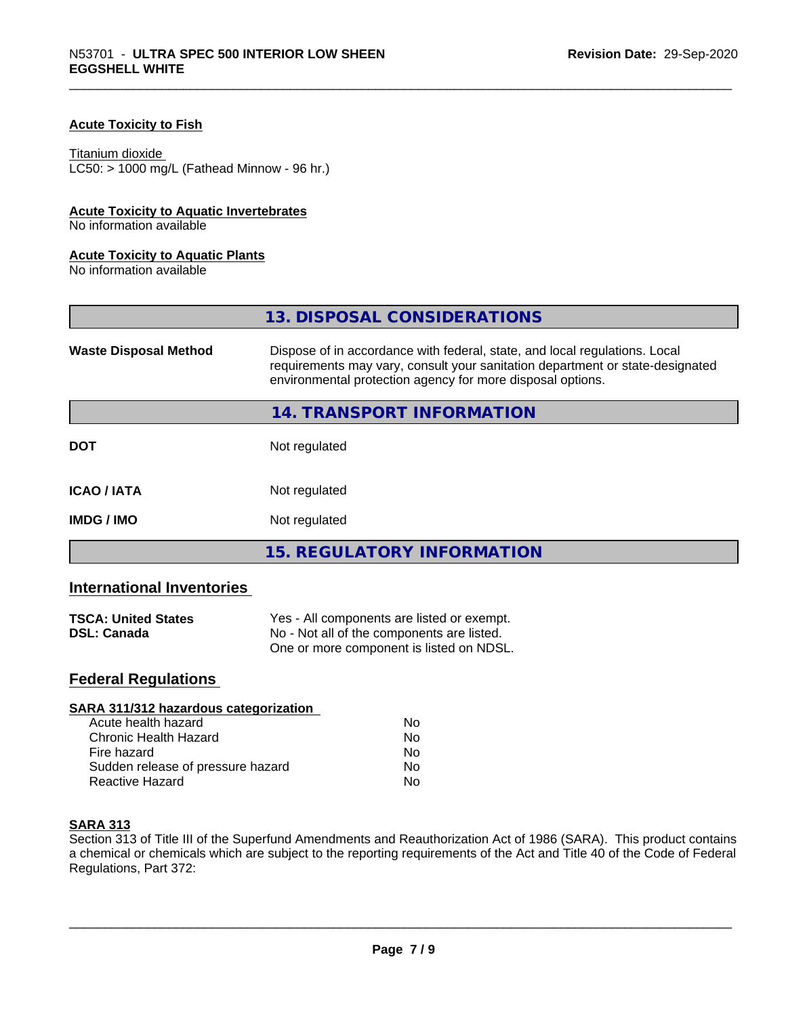#### **Acute Toxicity to Fish**

#### Titanium dioxide

 $LC50:$  > 1000 mg/L (Fathead Minnow - 96 hr.)

#### **Acute Toxicity to Aquatic Invertebrates**

No information available

#### **Acute Toxicity to Aquatic Plants**

No information available

|                              | 13. DISPOSAL CONSIDERATIONS                                                                                                                                                                                               |
|------------------------------|---------------------------------------------------------------------------------------------------------------------------------------------------------------------------------------------------------------------------|
| <b>Waste Disposal Method</b> | Dispose of in accordance with federal, state, and local regulations. Local<br>requirements may vary, consult your sanitation department or state-designated<br>environmental protection agency for more disposal options. |
|                              | 14. TRANSPORT INFORMATION                                                                                                                                                                                                 |
| <b>DOT</b>                   | Not regulated                                                                                                                                                                                                             |
| <b>ICAO/IATA</b>             | Not regulated                                                                                                                                                                                                             |
| <b>IMDG/IMO</b>              | Not regulated                                                                                                                                                                                                             |
|                              | <b>15. REGULATORY INFORMATION</b>                                                                                                                                                                                         |

#### **International Inventories**

| <b>TSCA: United States</b> | Yes - All components are listed or exempt. |  |
|----------------------------|--------------------------------------------|--|
| <b>DSL: Canada</b>         | No - Not all of the components are listed. |  |
|                            | One or more component is listed on NDSL.   |  |

# **Federal Regulations**

| Nο |  |
|----|--|
| No |  |
| No |  |
| No |  |
| No |  |
|    |  |

#### **SARA 313**

Section 313 of Title III of the Superfund Amendments and Reauthorization Act of 1986 (SARA). This product contains a chemical or chemicals which are subject to the reporting requirements of the Act and Title 40 of the Code of Federal Regulations, Part 372: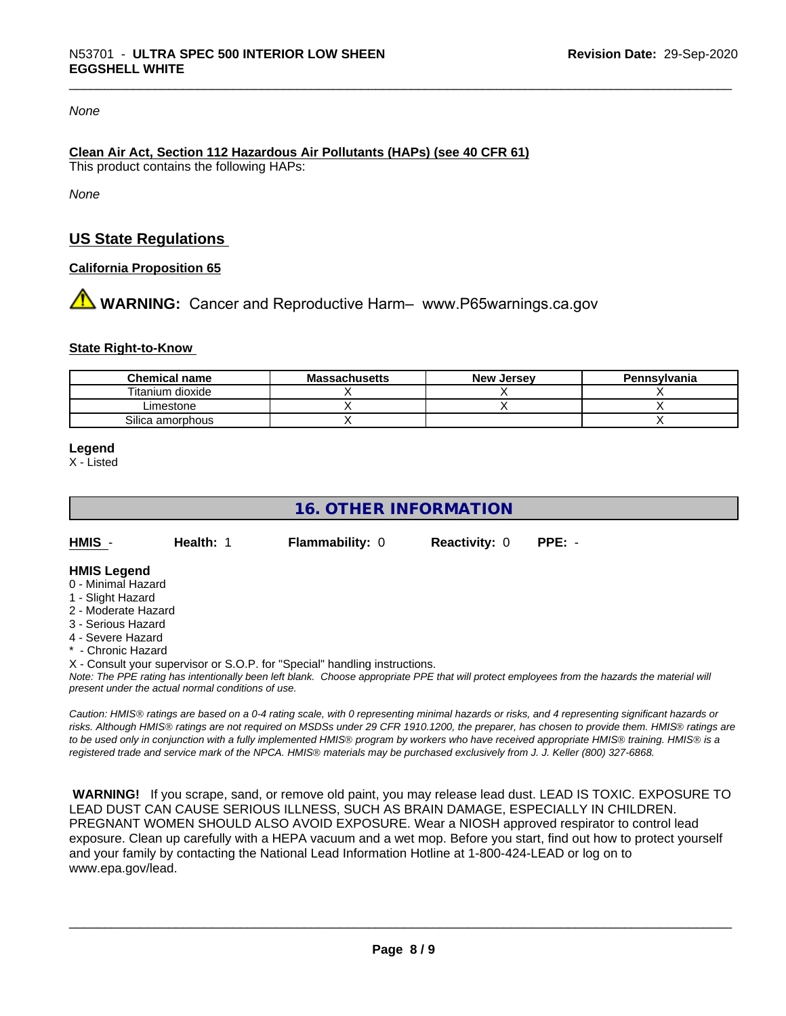#### *None*

#### **Clean Air Act,Section 112 Hazardous Air Pollutants (HAPs) (see 40 CFR 61)** This product contains the following HAPs:

*None*

#### **US State Regulations**

#### **California Proposition 65**

**AN** WARNING: Cancer and Reproductive Harm– www.P65warnings.ca.gov

#### **State Right-to-Know**

| <b>Chemical name</b> | <b>Massachusetts</b> | <b>New Jersey</b> | Pennsylvania |
|----------------------|----------------------|-------------------|--------------|
| Titanium dioxide     |                      |                   |              |
| ∟imestone            |                      |                   |              |
| Silica amorphous     |                      |                   |              |

**Legend**

X - Listed

#### **16. OTHER INFORMATION**

**HMIS** - **Health:** 1 **Flammability:** 0 **Reactivity:** 0 **PPE:** -

#### **HMIS Legend**

- 0 Minimal Hazard
- 1 Slight Hazard
- 2 Moderate Hazard
- 3 Serious Hazard
- 4 Severe Hazard
- Chronic Hazard

X - Consult your supervisor or S.O.P. for "Special" handling instructions.

*Note: The PPE rating has intentionally been left blank. Choose appropriate PPE that will protect employees from the hazards the material will present under the actual normal conditions of use.*

*Caution: HMISÒ ratings are based on a 0-4 rating scale, with 0 representing minimal hazards or risks, and 4 representing significant hazards or risks. Although HMISÒ ratings are not required on MSDSs under 29 CFR 1910.1200, the preparer, has chosen to provide them. HMISÒ ratings are to be used only in conjunction with a fully implemented HMISÒ program by workers who have received appropriate HMISÒ training. HMISÒ is a registered trade and service mark of the NPCA. HMISÒ materials may be purchased exclusively from J. J. Keller (800) 327-6868.*

 **WARNING!** If you scrape, sand, or remove old paint, you may release lead dust. LEAD IS TOXIC. EXPOSURE TO LEAD DUST CAN CAUSE SERIOUS ILLNESS, SUCH AS BRAIN DAMAGE, ESPECIALLY IN CHILDREN. PREGNANT WOMEN SHOULD ALSO AVOID EXPOSURE.Wear a NIOSH approved respirator to control lead exposure. Clean up carefully with a HEPA vacuum and a wet mop. Before you start, find out how to protect yourself and your family by contacting the National Lead Information Hotline at 1-800-424-LEAD or log on to www.epa.gov/lead.